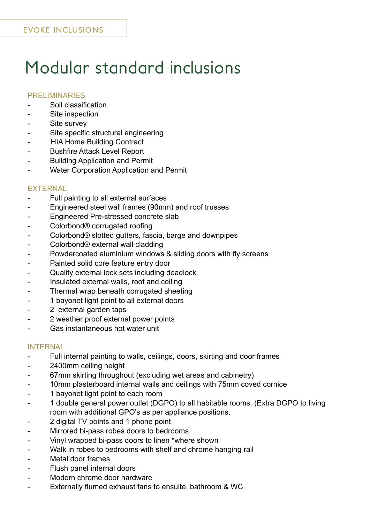# Modular standard inclusions

## PRELIMINARIES

- Soil classification
- Site inspection
- Site survey
- Site specific structural engineering
- **HIA Home Building Contract**
- **Bushfire Attack Level Report**
- **Building Application and Permit**
- **Water Corporation Application and Permit**

### **EXTERNAL**

- Full painting to all external surfaces
- Engineered steel wall frames (90mm) and roof trusses
- Engineered Pre-stressed concrete slab
- Colorbond® corrugated roofing
- Colorbond® slotted gutters, fascia, barge and downpipes
- Colorbond® external wall cladding
- Powdercoated aluminium windows & sliding doors with fly screens
- Painted solid core feature entry door
- Quality external lock sets including deadlock
- Insulated external walls, roof and ceiling
- Thermal wrap beneath corrugated sheeting
- 1 bayonet light point to all external doors
- 2 external garden taps
- 2 weather proof external power points
- Gas instantaneous hot water unit

## INTERNAL

- Full internal painting to walls, ceilings, doors, skirting and door frames
- 2400mm ceiling height
- 67mm skirting throughout (excluding wet areas and cabinetry)
- 10mm plasterboard internal walls and ceilings with 75mm coved cornice
- 1 bayonet light point to each room
- 1 double general power outlet (DGPO) to all habitable rooms. (Extra DGPO to living room with additional GPO's as per appliance positions.
- 2 digital TV points and 1 phone point
- Mirrored bi-pass robes doors to bedrooms
- Vinyl wrapped bi-pass doors to linen \*where shown
- Walk in robes to bedrooms with shelf and chrome hanging rail
- Metal door frames
- Flush panel internal doors
- Modern chrome door hardware
- Externally flumed exhaust fans to ensuite, bathroom & WC